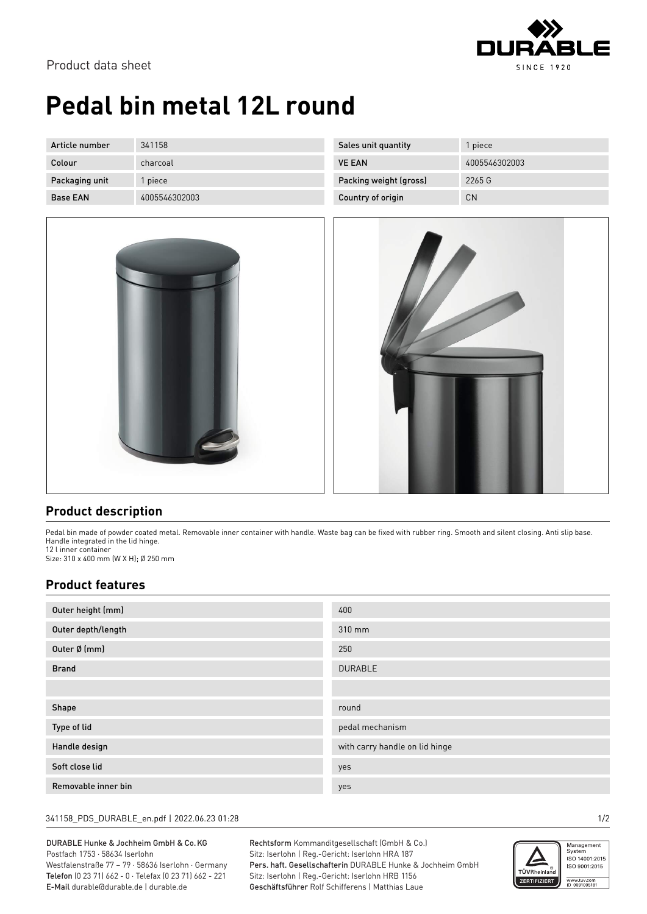

# **Pedal bin metal 12L round**

| Article number  | 341158        | Sales unit quantity    | piece         |
|-----------------|---------------|------------------------|---------------|
| Colour          | charcoal      | <b>VE EAN</b>          | 4005546302003 |
| Packaging unit  | piece         | Packing weight (gross) | 2265 G        |
| <b>Base EAN</b> | 4005546302003 | Country of origin      | <b>CN</b>     |





### **Product description**

Pedal bin made of powder coated metal. Removable inner container with handle. Waste bag can be fixed with rubber ring. Smooth and silent closing. Anti slip base. Handle integrated in the lid hinge.

12 l inner container Size: 310 x 400 mm (W X H); Ø 250 mm

#### **Product features**

| Outer height (mm)  | 400                            |
|--------------------|--------------------------------|
| Outer depth/length | 310 mm                         |
| Outer Ø (mm)       | 250                            |
| <b>Brand</b>       | <b>DURABLE</b>                 |
|                    |                                |
| Shape              |                                |
|                    | round                          |
| Type of lid        | pedal mechanism                |
| Handle design      | with carry handle on lid hinge |
| Soft close lid     | yes                            |

#### 341158\_PDS\_DURABLE\_en.pdf | 2022.06.23 01:28 1/2

DURABLE Hunke & Jochheim GmbH & Co.KG Postfach 1753 · 58634 Iserlohn Westfalenstraße 77 – 79 · 58636 Iserlohn · Germany

Telefon (0 23 71) 662 - 0 · Telefax (0 23 71) 662 - 221 E-Mail durable@durable.de | durable.de

Rechtsform Kommanditgesellschaft (GmbH & Co.) Sitz: Iserlohn | Reg.-Gericht: Iserlohn HRA 187 Pers. haft. Gesellschafterin DURABLE Hunke & Jochheim GmbH Sitz: Iserlohn | Reg.-Gericht: Iserlohn HRB 1156 Geschäftsführer Rolf Schifferens | Matthias Laue